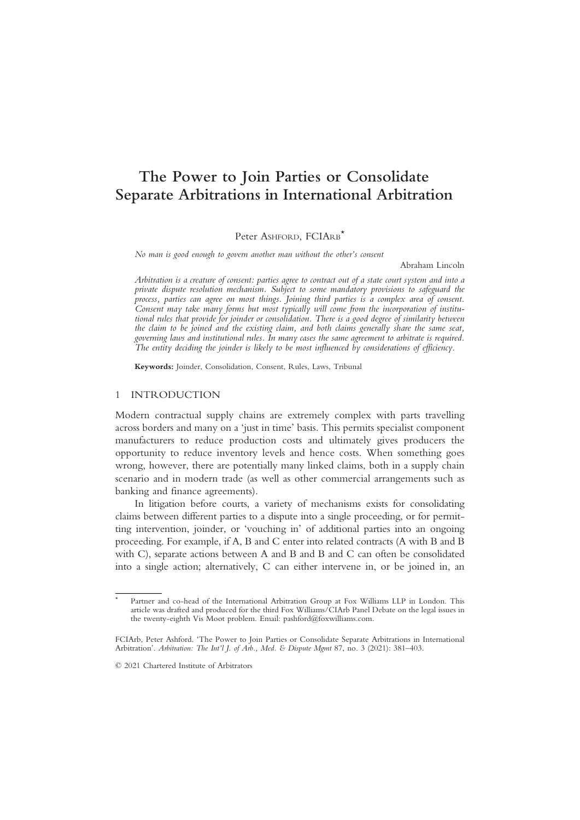# The Power to Join Parties or Consolidate Separate Arbitrations in International Arbitration

Peter ASHFORD, FCIARB<sup>\*</sup>

No man is good enough to govern another man without the other's consent

Abraham Lincoln

Arbitration is a creature of consent: parties agree to contract out of a state court system and into a private dispute resolution mechanism. Subject to some mandatory provisions to safeguard the process, parties can agree on most things. Joining third parties is a complex area of consent. Consent may take many forms but most typically will come from the incorporation of institutional rules that provide for joinder or consolidation. There is a good degree of similarity between the claim to be joined and the existing claim, and both claims generally share the same seat, governing laws and institutional rules. In many cases the same agreement to arbitrate is required. The entity deciding the joinder is likely to be most influenced by considerations of efficiency.

Keywords: Joinder, Consolidation, Consent, Rules, Laws, Tribunal

## 1 INTRODUCTION

Modern contractual supply chains are extremely complex with parts travelling across borders and many on a 'just in time' basis. This permits specialist component manufacturers to reduce production costs and ultimately gives producers the opportunity to reduce inventory levels and hence costs. When something goes wrong, however, there are potentially many linked claims, both in a supply chain scenario and in modern trade (as well as other commercial arrangements such as banking and finance agreements).

In litigation before courts, a variety of mechanisms exists for consolidating claims between different parties to a dispute into a single proceeding, or for permitting intervention, joinder, or 'vouching in' of additional parties into an ongoing proceeding. For example, if A, B and C enter into related contracts (A with B and B with C), separate actions between A and B and B and C can often be consolidated into a single action; alternatively, C can either intervene in, or be joined in, an

© 2021 Chartered Institute of Arbitrators

Partner and co-head of the International Arbitration Group at Fox Williams LLP in London. This article was drafted and produced for the third Fox Williams/CIArb Panel Debate on the legal issues in the twenty-eighth Vis Moot problem. Email: pashford@foxwilliams.com.

FCIArb, Peter Ashford. 'The Power to Join Parties or Consolidate Separate Arbitrations in International Arbitration'. Arbitration: The Int'l J. of Arb., Med. & Dispute Mgmt 87, no. 3 (2021): 381–403.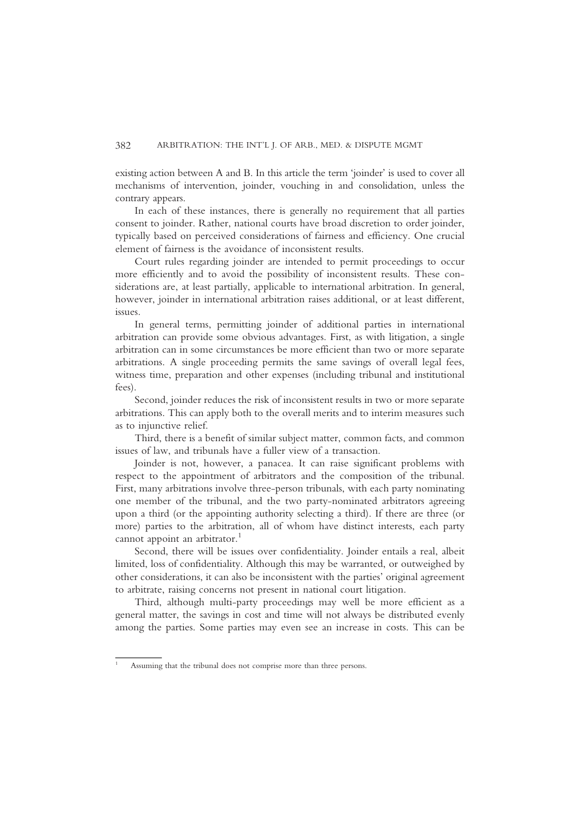existing action between A and B. In this article the term 'joinder' is used to cover all mechanisms of intervention, joinder, vouching in and consolidation, unless the contrary appears.

In each of these instances, there is generally no requirement that all parties consent to joinder. Rather, national courts have broad discretion to order joinder, typically based on perceived considerations of fairness and efficiency. One crucial element of fairness is the avoidance of inconsistent results.

Court rules regarding joinder are intended to permit proceedings to occur more efficiently and to avoid the possibility of inconsistent results. These considerations are, at least partially, applicable to international arbitration. In general, however, joinder in international arbitration raises additional, or at least different, issues.

In general terms, permitting joinder of additional parties in international arbitration can provide some obvious advantages. First, as with litigation, a single arbitration can in some circumstances be more efficient than two or more separate arbitrations. A single proceeding permits the same savings of overall legal fees, witness time, preparation and other expenses (including tribunal and institutional fees).

Second, joinder reduces the risk of inconsistent results in two or more separate arbitrations. This can apply both to the overall merits and to interim measures such as to injunctive relief.

Third, there is a benefit of similar subject matter, common facts, and common issues of law, and tribunals have a fuller view of a transaction.

Joinder is not, however, a panacea. It can raise significant problems with respect to the appointment of arbitrators and the composition of the tribunal. First, many arbitrations involve three-person tribunals, with each party nominating one member of the tribunal, and the two party-nominated arbitrators agreeing upon a third (or the appointing authority selecting a third). If there are three (or more) parties to the arbitration, all of whom have distinct interests, each party cannot appoint an arbitrator.<sup>1</sup>

Second, there will be issues over confidentiality. Joinder entails a real, albeit limited, loss of confidentiality. Although this may be warranted, or outweighed by other considerations, it can also be inconsistent with the parties' original agreement to arbitrate, raising concerns not present in national court litigation.

Third, although multi-party proceedings may well be more efficient as a general matter, the savings in cost and time will not always be distributed evenly among the parties. Some parties may even see an increase in costs. This can be

<sup>&</sup>lt;sup>1</sup> Assuming that the tribunal does not comprise more than three persons.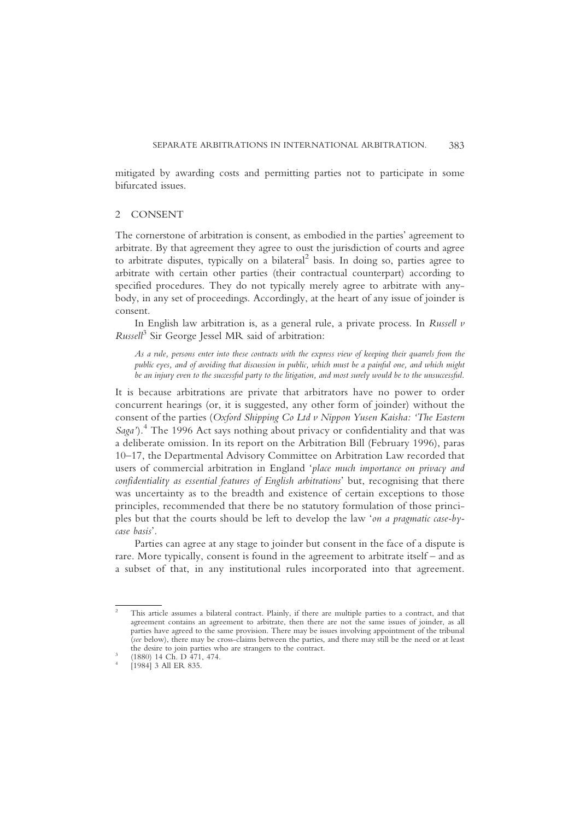mitigated by awarding costs and permitting parties not to participate in some bifurcated issues.

# 2 CONSENT

The cornerstone of arbitration is consent, as embodied in the parties' agreement to arbitrate. By that agreement they agree to oust the jurisdiction of courts and agree to arbitrate disputes, typically on a bilateral<sup>2</sup> basis. In doing so, parties agree to arbitrate with certain other parties (their contractual counterpart) according to specified procedures. They do not typically merely agree to arbitrate with anybody, in any set of proceedings. Accordingly, at the heart of any issue of joinder is consent.

In English law arbitration is, as a general rule, a private process. In Russell  $\nu$  $Russell<sup>3</sup>$  Sir George Jessel MR said of arbitration:

As a rule, persons enter into these contracts with the express view of keeping their quarrels from the public eyes, and of avoiding that discussion in public, which must be a painful one, and which might be an injury even to the successful party to the litigation, and most surely would be to the unsuccessful.

It is because arbitrations are private that arbitrators have no power to order concurrent hearings (or, it is suggested, any other form of joinder) without the consent of the parties (Oxford Shipping Co Ltd v Nippon Yusen Kaisha: 'The Eastern Saga').<sup>4</sup> The 1996 Act says nothing about privacy or confidentiality and that was a deliberate omission. In its report on the Arbitration Bill (February 1996), paras 10–17, the Departmental Advisory Committee on Arbitration Law recorded that users of commercial arbitration in England 'place much importance on privacy and confidentiality as essential features of English arbitrations' but, recognising that there was uncertainty as to the breadth and existence of certain exceptions to those principles, recommended that there be no statutory formulation of those principles but that the courts should be left to develop the law 'on a pragmatic case-bycase basis'.

Parties can agree at any stage to joinder but consent in the face of a dispute is rare. More typically, consent is found in the agreement to arbitrate itself – and as a subset of that, in any institutional rules incorporated into that agreement.

<sup>&</sup>lt;sup>2</sup> This article assumes a bilateral contract. Plainly, if there are multiple parties to a contract, and that agreement contains an agreement to arbitrate, then there are not the same issues of joinder, as all parties have agreed to the same provision. There may be issues involving appointment of the tribunal (see below), there may be cross-claims between the parties, and there may still be the need or at least the desire to join parties who are strangers to the contract.<br>
<sup>3</sup> (1880) 14 Ch. D 471, 474.<br>
<sup>4</sup> [1984] 3 All ER 835.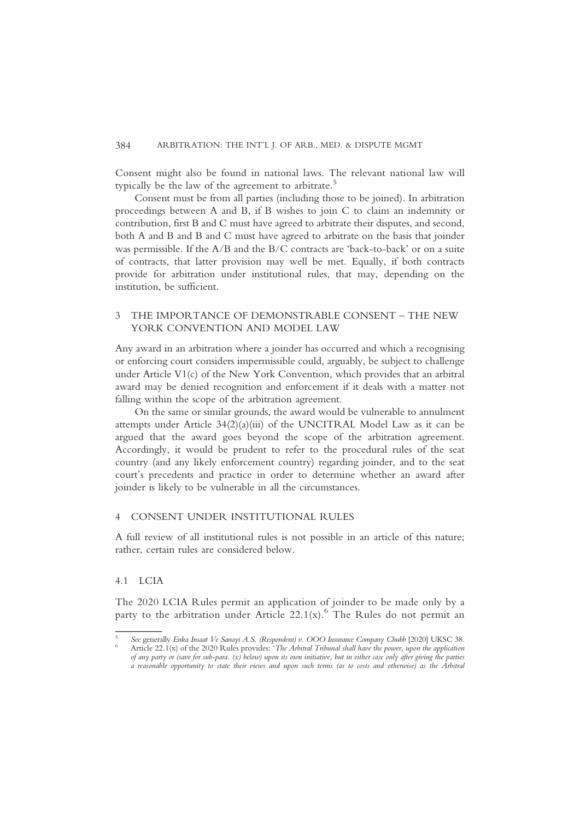Consent might also be found in national laws. The relevant national law will typically be the law of the agreement to arbitrate.<sup>5</sup>

Consent must be from all parties (including those to be joined). In arbitration proceedings between A and B, if B wishes to join C to claim an indemnity or contribution, first B and C must have agreed to arbitrate their disputes, and second, both A and B and B and C must have agreed to arbitrate on the basis that joinder was permissible. If the A/B and the B/C contracts are 'back-to-back' or on a suite of contracts, that latter provision may well be met. Equally, if both contracts provide for arbitration under institutional rules, that may, depending on the institution, be sufficient.

# 3 THE IMPORTANCE OF DEMONSTRABLE CONSENT – THE NEW YORK CONVENTION AND MODEL LAW

Any award in an arbitration where a joinder has occurred and which a recognising or enforcing court considers impermissible could, arguably, be subject to challenge under Article V1(c) of the New York Convention, which provides that an arbitral award may be denied recognition and enforcement if it deals with a matter not falling within the scope of the arbitration agreement.

On the same or similar grounds, the award would be vulnerable to annulment attempts under Article  $34(2)(a)(iii)$  of the UNCITRAL Model Law as it can be argued that the award goes beyond the scope of the arbitration agreement. Accordingly, it would be prudent to refer to the procedural rules of the seat country (and any likely enforcement country) regarding joinder, and to the seat court's precedents and practice in order to determine whether an award after joinder is likely to be vulnerable in all the circumstances.

## 4 CONSENT UNDER INSTITUTIONAL RULES

A full review of all institutional rules is not possible in an article of this nature; rather, certain rules are considered below.

## 4.1 LCIA

The 2020 LCIA Rules permit an application of joinder to be made only by a party to the arbitration under Article 22.1(x).<sup>6</sup> The Rules do not permit an

See generally Enka Insaat Ve Sanayi A.S. (Respondent) v. OOO Insurance Company Chubb [2020] UKSC 38. Article 22.1(x) of the 2020 Rules provides: 'The Arbitral Tribunal shall have the power, upon the application of any party or (save for sub-para.  $(x)$  below) upon its own initiative, but in either case only after giving the parties a reasonable opportunity to state their views and upon such terms (as to costs and otherwise) as the Arbitral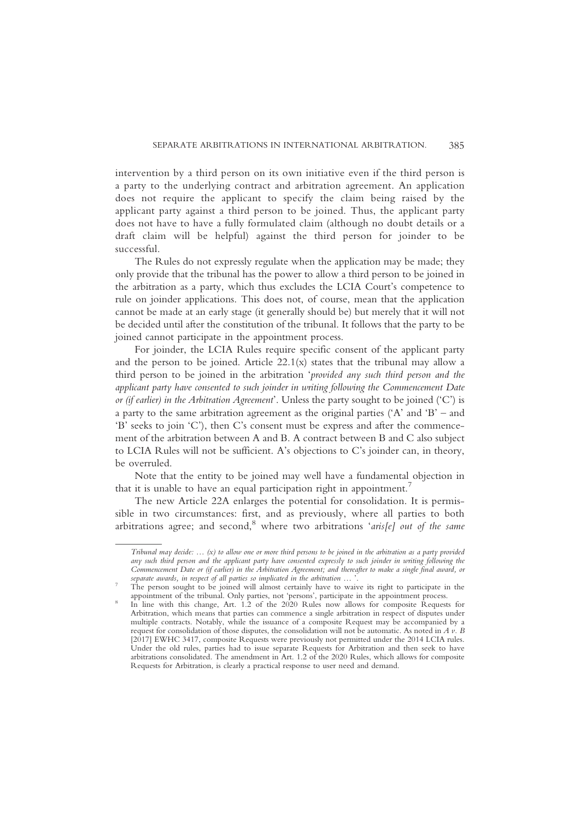intervention by a third person on its own initiative even if the third person is a party to the underlying contract and arbitration agreement. An application does not require the applicant to specify the claim being raised by the applicant party against a third person to be joined. Thus, the applicant party does not have to have a fully formulated claim (although no doubt details or a draft claim will be helpful) against the third person for joinder to be successful.

The Rules do not expressly regulate when the application may be made; they only provide that the tribunal has the power to allow a third person to be joined in the arbitration as a party, which thus excludes the LCIA Court's competence to rule on joinder applications. This does not, of course, mean that the application cannot be made at an early stage (it generally should be) but merely that it will not be decided until after the constitution of the tribunal. It follows that the party to be joined cannot participate in the appointment process.

For joinder, the LCIA Rules require specific consent of the applicant party and the person to be joined. Article  $22.1(x)$  states that the tribunal may allow a third person to be joined in the arbitration 'provided any such third person and the applicant party have consented to such joinder in writing following the Commencement Date or (if earlier) in the Arbitration Agreement'. Unless the party sought to be joined ('C') is a party to the same arbitration agreement as the original parties  $(A<sup>'</sup>$  and  $B<sup>'</sup>$  – and 'B' seeks to join 'C'), then C's consent must be express and after the commencement of the arbitration between A and B. A contract between B and C also subject to LCIA Rules will not be sufficient. A's objections to C's joinder can, in theory, be overruled.

Note that the entity to be joined may well have a fundamental objection in that it is unable to have an equal participation right in appointment.<sup>7</sup>

The new Article 22A enlarges the potential for consolidation. It is permissible in two circumstances: first, and as previously, where all parties to both arbitrations agree; and second, where two arbitrations 'aris[e] out of the same

Tribunal may decide: … (x) to allow one or more third persons to be joined in the arbitration as a party provided any such third person and the applicant party have consented expressly to such joinder in writing following the Commencement Date or (if earlier) in the Arbitration Agreement; and thereafter to make a single final award, or

The person sought to be joined will almost certainly have to waive its right to participate in the appointment of the tribunal. Only parties, not 'persons', participate in the appointment process.

 $\overline{\text{ln}}$  line with this change, Art. 1.2 of the 2020 Rules now allows for composite Requests for Arbitration, which means that parties can commence a single arbitration in respect of disputes under multiple contracts. Notably, while the issuance of a composite Request may be accompanied by a request for consolidation of those disputes, the consolidation will not be automatic. As noted in A v. B [2017] EWHC 3417, composite Requests were previously not permitted under the 2014 LCIA rules. Under the old rules, parties had to issue separate Requests for Arbitration and then seek to have arbitrations consolidated. The amendment in Art.  $1.2$  of the 2020 Rules, which allows for composite Requests for Arbitration, is clearly a practical response to user need and demand.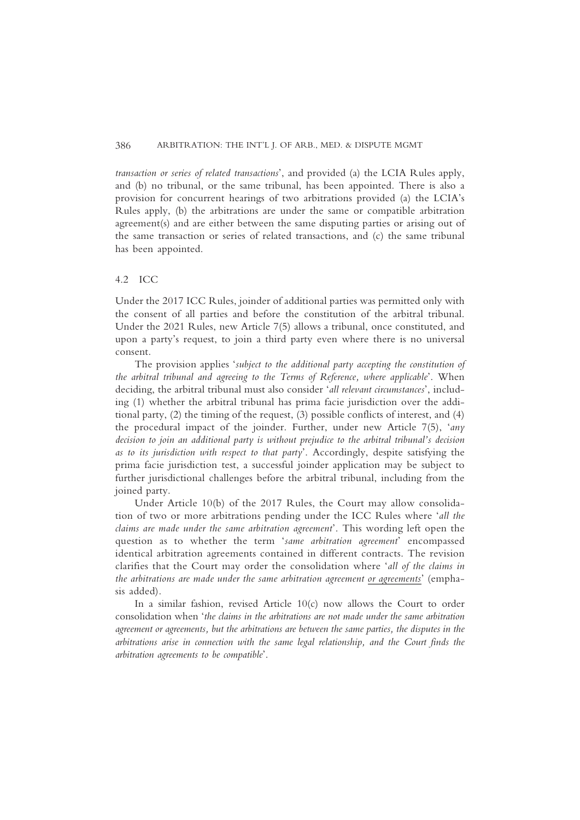transaction or series of related transactions', and provided (a) the LCIA Rules apply, and (b) no tribunal, or the same tribunal, has been appointed. There is also a provision for concurrent hearings of two arbitrations provided (a) the LCIA's Rules apply, (b) the arbitrations are under the same or compatible arbitration agreement(s) and are either between the same disputing parties or arising out of the same transaction or series of related transactions, and (c) the same tribunal has been appointed.

### 4.2 ICC

Under the 2017 ICC Rules, joinder of additional parties was permitted only with the consent of all parties and before the constitution of the arbitral tribunal. Under the 2021 Rules, new Article 7(5) allows a tribunal, once constituted, and upon a party's request, to join a third party even where there is no universal consent.

The provision applies 'subject to the additional party accepting the constitution of the arbitral tribunal and agreeing to the Terms of Reference, where applicable'. When deciding, the arbitral tribunal must also consider 'all relevant circumstances', including (1) whether the arbitral tribunal has prima facie jurisdiction over the additional party, (2) the timing of the request, (3) possible conflicts of interest, and (4) the procedural impact of the joinder. Further, under new Article 7(5), 'any decision to join an additional party is without prejudice to the arbitral tribunal's decision as to its jurisdiction with respect to that party'. Accordingly, despite satisfying the prima facie jurisdiction test, a successful joinder application may be subject to further jurisdictional challenges before the arbitral tribunal, including from the joined party.

Under Article 10(b) of the 2017 Rules, the Court may allow consolidation of two or more arbitrations pending under the ICC Rules where 'all the claims are made under the same arbitration agreement'. This wording left open the question as to whether the term 'same arbitration agreement' encompassed identical arbitration agreements contained in different contracts. The revision clarifies that the Court may order the consolidation where 'all of the claims in the arbitrations are made under the same arbitration agreement or agreements' (emphasis added).

In a similar fashion, revised Article 10(c) now allows the Court to order consolidation when 'the claims in the arbitrations are not made under the same arbitration agreement or agreements, but the arbitrations are between the same parties, the disputes in the arbitrations arise in connection with the same legal relationship, and the Court finds the arbitration agreements to be compatible'.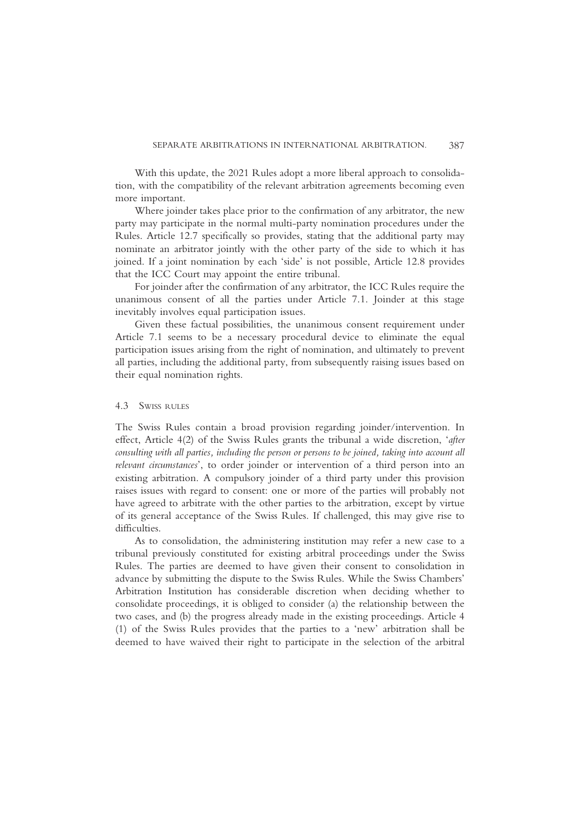With this update, the 2021 Rules adopt a more liberal approach to consolidation, with the compatibility of the relevant arbitration agreements becoming even more important.

Where joinder takes place prior to the confirmation of any arbitrator, the new party may participate in the normal multi-party nomination procedures under the Rules. Article 12.7 specifically so provides, stating that the additional party may nominate an arbitrator jointly with the other party of the side to which it has joined. If a joint nomination by each 'side' is not possible, Article 12.8 provides that the ICC Court may appoint the entire tribunal.

For joinder after the confirmation of any arbitrator, the ICC Rules require the unanimous consent of all the parties under Article 7.1. Joinder at this stage inevitably involves equal participation issues.

Given these factual possibilities, the unanimous consent requirement under Article 7.1 seems to be a necessary procedural device to eliminate the equal participation issues arising from the right of nomination, and ultimately to prevent all parties, including the additional party, from subsequently raising issues based on their equal nomination rights.

## 4.3 SWISS RULES

The Swiss Rules contain a broad provision regarding joinder/intervention. In effect, Article 4(2) of the Swiss Rules grants the tribunal a wide discretion, 'after consulting with all parties, including the person or persons to be joined, taking into account all relevant circumstances', to order joinder or intervention of a third person into an existing arbitration. A compulsory joinder of a third party under this provision raises issues with regard to consent: one or more of the parties will probably not have agreed to arbitrate with the other parties to the arbitration, except by virtue of its general acceptance of the Swiss Rules. If challenged, this may give rise to difficulties.

As to consolidation, the administering institution may refer a new case to a tribunal previously constituted for existing arbitral proceedings under the Swiss Rules. The parties are deemed to have given their consent to consolidation in advance by submitting the dispute to the Swiss Rules. While the Swiss Chambers' Arbitration Institution has considerable discretion when deciding whether to consolidate proceedings, it is obliged to consider (a) the relationship between the two cases, and (b) the progress already made in the existing proceedings. Article 4 (1) of the Swiss Rules provides that the parties to a 'new' arbitration shall be deemed to have waived their right to participate in the selection of the arbitral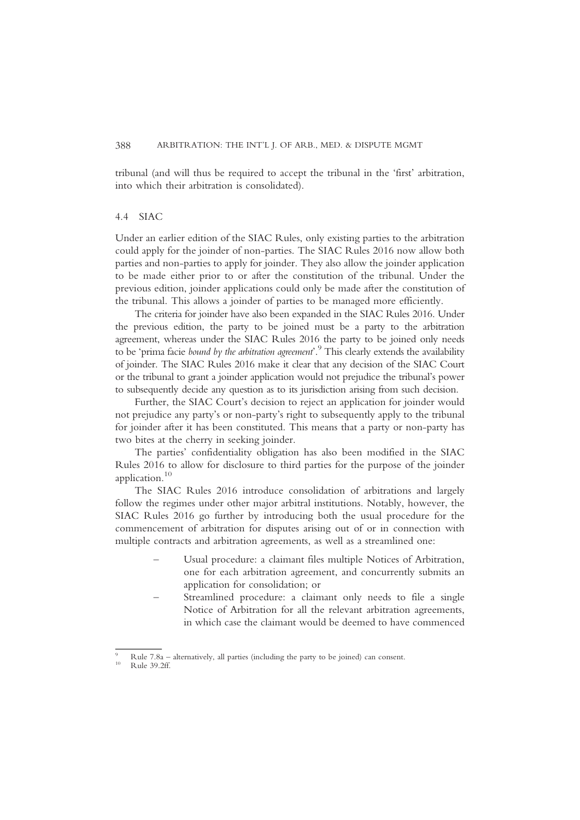tribunal (and will thus be required to accept the tribunal in the 'first' arbitration, into which their arbitration is consolidated).

# 4.4 SIAC

Under an earlier edition of the SIAC Rules, only existing parties to the arbitration could apply for the joinder of non-parties. The SIAC Rules 2016 now allow both parties and non-parties to apply for joinder. They also allow the joinder application to be made either prior to or after the constitution of the tribunal. Under the previous edition, joinder applications could only be made after the constitution of the tribunal. This allows a joinder of parties to be managed more efficiently.

The criteria for joinder have also been expanded in the SIAC Rules 2016. Under the previous edition, the party to be joined must be a party to the arbitration agreement, whereas under the SIAC Rules 2016 the party to be joined only needs to be 'prima facie bound by the arbitration agreement'.<sup>9</sup> This clearly extends the availability of joinder. The SIAC Rules 2016 make it clear that any decision of the SIAC Court or the tribunal to grant a joinder application would not prejudice the tribunal's power to subsequently decide any question as to its jurisdiction arising from such decision.

Further, the SIAC Court's decision to reject an application for joinder would not prejudice any party's or non-party's right to subsequently apply to the tribunal for joinder after it has been constituted. This means that a party or non-party has two bites at the cherry in seeking joinder.

The parties' confidentiality obligation has also been modified in the SIAC Rules 2016 to allow for disclosure to third parties for the purpose of the joinder application.<sup>10</sup>

The SIAC Rules 2016 introduce consolidation of arbitrations and largely follow the regimes under other major arbitral institutions. Notably, however, the SIAC Rules 2016 go further by introducing both the usual procedure for the commencement of arbitration for disputes arising out of or in connection with multiple contracts and arbitration agreements, as well as a streamlined one:

- Usual procedure: a claimant files multiple Notices of Arbitration, one for each arbitration agreement, and concurrently submits an application for consolidation; or
- Streamlined procedure: a claimant only needs to file a single Notice of Arbitration for all the relevant arbitration agreements, in which case the claimant would be deemed to have commenced

<sup>9</sup> Rule 7.8a – alternatively, all parties (including the party to be joined) can consent. <sup>10</sup> Rule 39.2ff.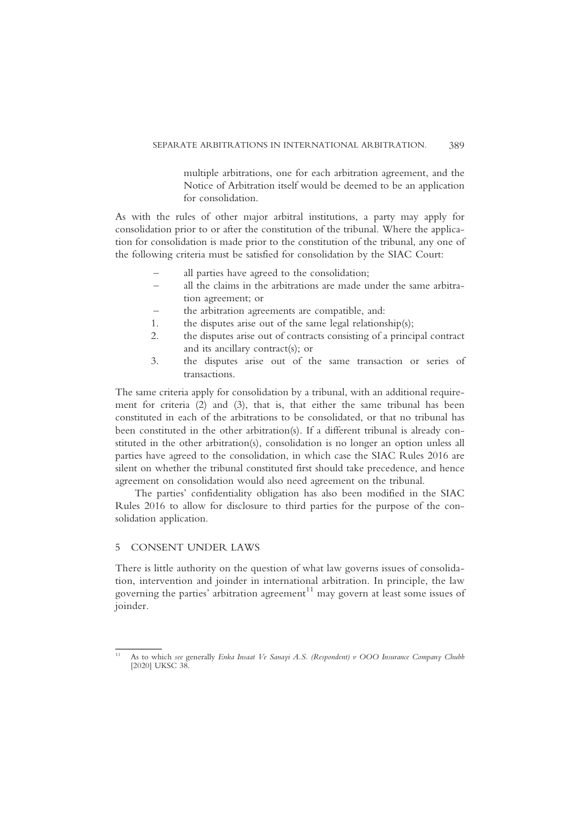multiple arbitrations, one for each arbitration agreement, and the Notice of Arbitration itself would be deemed to be an application for consolidation.

As with the rules of other major arbitral institutions, a party may apply for consolidation prior to or after the constitution of the tribunal. Where the application for consolidation is made prior to the constitution of the tribunal, any one of the following criteria must be satisfied for consolidation by the SIAC Court:

- all parties have agreed to the consolidation;
- all the claims in the arbitrations are made under the same arbitration agreement; or
- the arbitration agreements are compatible, and:
- 1. the disputes arise out of the same legal relationship(s);
- 2. the disputes arise out of contracts consisting of a principal contract and its ancillary contract(s); or
- 3. the disputes arise out of the same transaction or series of transactions.

The same criteria apply for consolidation by a tribunal, with an additional requirement for criteria (2) and (3), that is, that either the same tribunal has been constituted in each of the arbitrations to be consolidated, or that no tribunal has been constituted in the other arbitration(s). If a different tribunal is already constituted in the other arbitration(s), consolidation is no longer an option unless all parties have agreed to the consolidation, in which case the SIAC Rules 2016 are silent on whether the tribunal constituted first should take precedence, and hence agreement on consolidation would also need agreement on the tribunal.

The parties' confidentiality obligation has also been modified in the SIAC Rules 2016 to allow for disclosure to third parties for the purpose of the consolidation application.

## 5 CONSENT UNDER LAWS

There is little authority on the question of what law governs issues of consolidation, intervention and joinder in international arbitration. In principle, the law governing the parties' arbitration agreement $11$  may govern at least some issues of joinder.

<sup>&</sup>lt;sup>11</sup> As to which see generally Enka Insaat Ve Sanayi A.S. (Respondent) v OOO Insurance Company Chubb [2020] UKSC 38.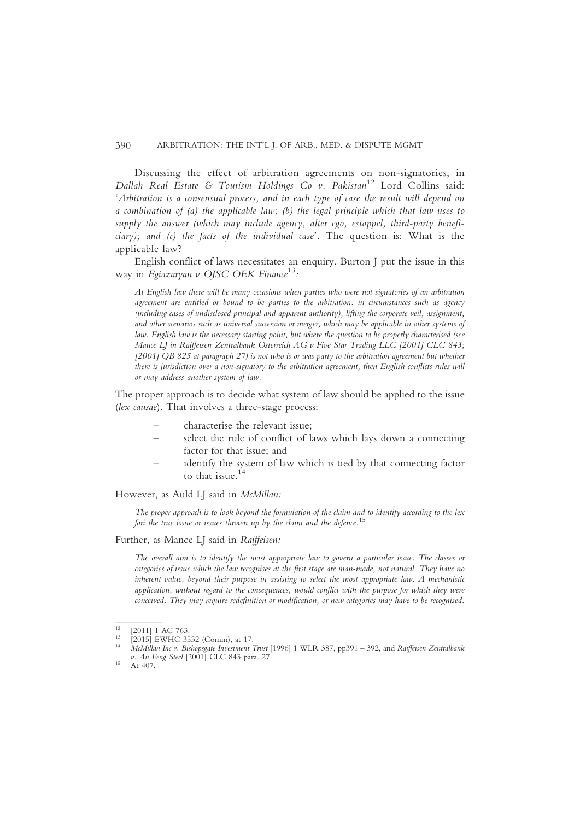#### 390 ARBITRATION: THE INT'L J. OF ARB., MED. & DISPUTE MGMT

Discussing the effect of arbitration agreements on non-signatories, in Dallah Real Estate & Tourism Holdings Co v. Pakistan<sup>12</sup> Lord Collins said: 'Arbitration is a consensual process, and in each type of case the result will depend on a combination of (a) the applicable law; (b) the legal principle which that law uses to supply the answer (which may include agency, alter ego, estoppel, third-party beneficiary); and (c) the facts of the individual case'. The question is: What is the applicable law?

English conflict of laws necessitates an enquiry. Burton J put the issue in this way in Egiazaryan v OJSC OEK Finance<sup>13</sup>:

At English law there will be many occasions when parties who were not signatories of an arbitration agreement are entitled or bound to be parties to the arbitration: in circumstances such as agency (including cases of undisclosed principal and apparent authority), lifting the corporate veil, assignment, and other scenarios such as universal succession or merger, which may be applicable in other systems of law. English law is the necessary starting point, but where the question to be properly characterised (see Mance LJ in Raiffeisen Zentralbank Österreich AG v Five Star Trading LLC [2001] CLC 843; [2001] QB 825 at paragraph 27) is not who is or was party to the arbitration agreement but whether there is jurisdiction over a non-signatory to the arbitration agreement, then English conflicts rules will or may address another system of law.

The proper approach is to decide what system of law should be applied to the issue (lex causae). That involves a three-stage process:

- characterise the relevant issue;
- select the rule of conflict of laws which lays down a connecting factor for that issue; and
- identify the system of law which is tied by that connecting factor to that issue.<sup>14</sup>

However, as Auld LJ said in McMillan:

The proper approach is to look beyond the formulation of the claim and to identify according to the lex fori the true issue or issues thrown up by the claim and the defence.<sup>15</sup>

Further, as Mance LJ said in Raiffeisen:

The overall aim is to identify the most appropriate law to govern a particular issue. The classes or categories of issue which the law recognises at the first stage are man-made, not natural. They have no inherent value, beyond their purpose in assisting to select the most appropriate law. A mechanistic application, without regard to the consequences, would conflict with the purpose for which they were conceived. They may require redefinition or modification, or new categories may have to be recognised.

<sup>&</sup>lt;sup>12</sup> [2011] 1 AC 763.<br><sup>13</sup> [2015] EWHC 3532 (Comm), at 17.<br><sup>14</sup> McMillan Inc v. Bishopsgate Investment Trust [1996] 1 WLR 387, pp391 – 392, and Raiffeisen Zentralbank v. An Feng Steel [2001] CLC 843 para. 27.<br><sup>15</sup> At 407.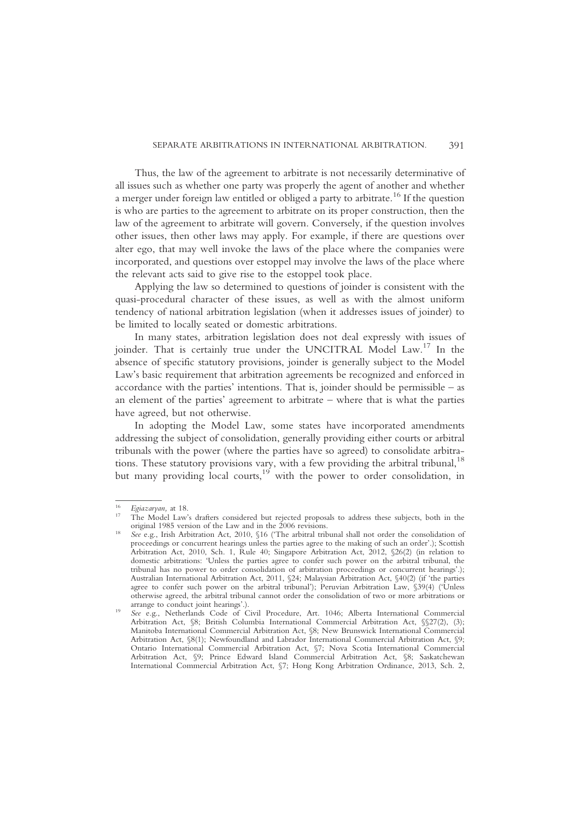Thus, the law of the agreement to arbitrate is not necessarily determinative of all issues such as whether one party was properly the agent of another and whether a merger under foreign law entitled or obliged a party to arbitrate.<sup>16</sup> If the question is who are parties to the agreement to arbitrate on its proper construction, then the law of the agreement to arbitrate will govern. Conversely, if the question involves other issues, then other laws may apply. For example, if there are questions over alter ego, that may well invoke the laws of the place where the companies were incorporated, and questions over estoppel may involve the laws of the place where the relevant acts said to give rise to the estoppel took place.

Applying the law so determined to questions of joinder is consistent with the quasi-procedural character of these issues, as well as with the almost uniform tendency of national arbitration legislation (when it addresses issues of joinder) to be limited to locally seated or domestic arbitrations.

In many states, arbitration legislation does not deal expressly with issues of joinder. That is certainly true under the UNCITRAL Model Law.<sup>17</sup> In the absence of specific statutory provisions, joinder is generally subject to the Model Law's basic requirement that arbitration agreements be recognized and enforced in accordance with the parties' intentions. That is, joinder should be permissible – as an element of the parties' agreement to arbitrate – where that is what the parties have agreed, but not otherwise.

In adopting the Model Law, some states have incorporated amendments addressing the subject of consolidation, generally providing either courts or arbitral tribunals with the power (where the parties have so agreed) to consolidate arbitrations. These statutory provisions vary, with a few providing the arbitral tribunal,  $^{18}$ but many providing local courts,  $19$  with the power to order consolidation, in

 $^{16}$  Egiazaryan, at 18.<br><sup>17</sup> The Model Law's drafters considered but rejected proposals to address these subjects, both in the original 1985 version of the Law and in the 2006 revisions.

original 1985 version of the Law and in the 2006 revisions. <sup>18</sup> See e.g., Irish Arbitration Act, 2010, §16 ('The arbitral tribunal shall not order the consolidation of proceedings or concurrent hearings unless the parties agree to the making of such an order'.); Scottish Arbitration Act, 2010, Sch. 1, Rule 40; Singapore Arbitration Act, 2012, §26(2) (in relation to domestic arbitrations: 'Unless the parties agree to confer such power on the arbitral tribunal, the tribunal has no power to order consolidation of arbitration proceedings or concurrent hearings'.); Australian International Arbitration Act, 2011, §24; Malaysian Arbitration Act, §40(2) (if 'the parties agree to confer such power on the arbitral tribunal'); Peruvian Arbitration Law, §39(4) ('Unless otherwise agreed, the arbitral tribunal cannot order the consolidation of two or more arbitrations or

arrange to conduct joint hearings'.).<br>
See e.g., Netherlands Code of Civil Procedure, Art. 1046; Alberta International Commercial Arbitration Act, §8; British Columbia International Commercial Arbitration Act, §§27(2), (3); Manitoba International Commercial Arbitration Act, §8; New Brunswick International Commercial Arbitration Act, §8(1); Newfoundland and Labrador International Commercial Arbitration Act, §9; Ontario International Commercial Arbitration Act, §7; Nova Scotia International Commercial Arbitration Act, §9; Prince Edward Island Commercial Arbitration Act, §8; Saskatchewan International Commercial Arbitration Act, §7; Hong Kong Arbitration Ordinance, 2013, Sch. 2,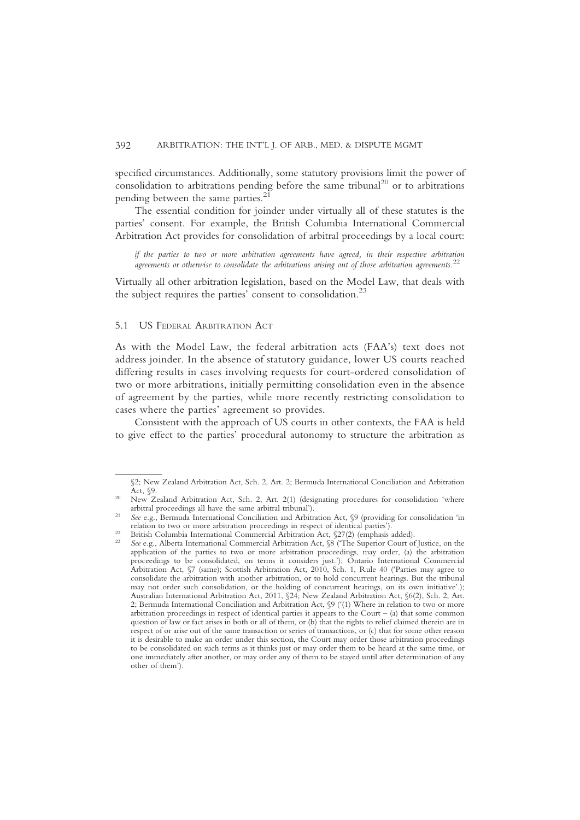specified circumstances. Additionally, some statutory provisions limit the power of consolidation to arbitrations pending before the same tribunal<sup>20</sup> or to arbitrations pending between the same parties.<sup>21</sup>

The essential condition for joinder under virtually all of these statutes is the parties' consent. For example, the British Columbia International Commercial Arbitration Act provides for consolidation of arbitral proceedings by a local court:

if the parties to two or more arbitration agreements have agreed, in their respective arbitration agreements or otherwise to consolidate the arbitrations arising out of those arbitration agreements.<sup>22</sup>

Virtually all other arbitration legislation, based on the Model Law, that deals with the subject requires the parties' consent to consolidation.<sup>23</sup>

#### 5.1 US FEDERAL ARBITRATION ACT

As with the Model Law, the federal arbitration acts (FAA's) text does not address joinder. In the absence of statutory guidance, lower US courts reached differing results in cases involving requests for court-ordered consolidation of two or more arbitrations, initially permitting consolidation even in the absence of agreement by the parties, while more recently restricting consolidation to cases where the parties' agreement so provides.

Consistent with the approach of US courts in other contexts, the FAA is held to give effect to the parties' procedural autonomy to structure the arbitration as

<sup>§2;</sup> New Zealand Arbitration Act, Sch. 2, Art. 2; Bermuda International Conciliation and Arbitration

Act, §9.<br>20 New Zealand Arbitration Act, Sch. 2, Art. 2(1) (designating procedures for consolidation 'where<br>20 arbitral proceedings all have the same arbitral tribunal').

<sup>&</sup>lt;sup>21</sup> See e.g., Bermuda International Conciliation and Arbitration Act, §9 (providing for consolidation 'in relation to two or more arbitration proceedings in respect of identical parties').<br>
<sup>22</sup> British Columbia International Commercial Arbitration Act, §27(2) (emphasis added).<br>
<sup>23</sup> See e.g., Alberta International Commercial

application of the parties to two or more arbitration proceedings, may order, (a) the arbitration proceedings to be consolidated, on terms it considers just.'); Ontario International Commercial Arbitration Act, §7 (same); Scottish Arbitration Act, 2010, Sch. 1, Rule 40 ('Parties may agree to consolidate the arbitration with another arbitration, or to hold concurrent hearings. But the tribunal may not order such consolidation, or the holding of concurrent hearings, on its own initiative'.); Australian International Arbitration Act, 2011, §24; New Zealand Arbitration Act, §6(2), Sch. 2, Art. 2; Bermuda International Conciliation and Arbitration Act, §9 ('(1) Where in relation to two or more arbitration proceedings in respect of identical parties it appears to the Court – (a) that some common question of law or fact arises in both or all of them, or (b) that the rights to relief claimed therein are in respect of or arise out of the same transaction or series of transactions, or (c) that for some other reason it is desirable to make an order under this section, the Court may order those arbitration proceedings to be consolidated on such terms as it thinks just or may order them to be heard at the same time, or one immediately after another, or may order any of them to be stayed until after determination of any other of them').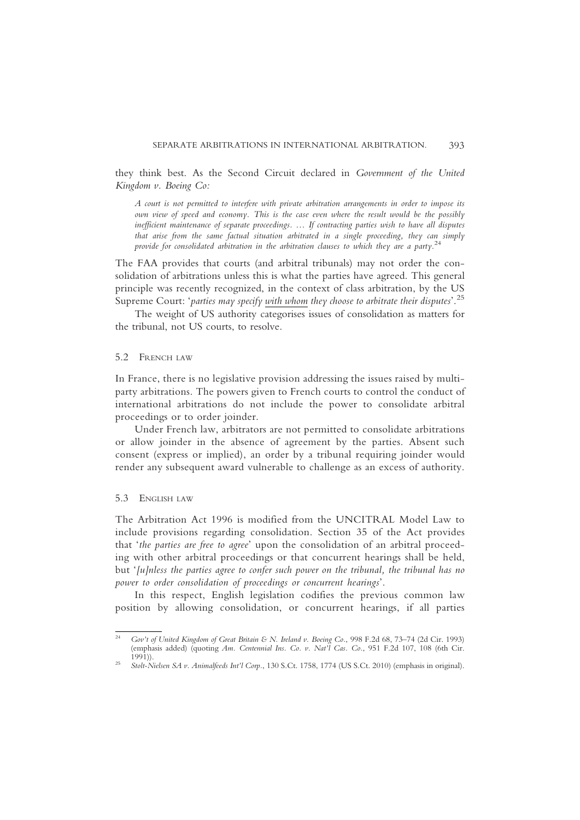they think best. As the Second Circuit declared in Government of the United Kingdom v. Boeing Co:

A court is not permitted to interfere with private arbitration arrangements in order to impose its own view of speed and economy. This is the case even where the result would be the possibly inefficient maintenance of separate proceedings. … If contracting parties wish to have all disputes that arise from the same factual situation arbitrated in a single proceeding, they can simply provide for consolidated arbitration in the arbitration clauses to which they are a party.<sup>24</sup>

The FAA provides that courts (and arbitral tribunals) may not order the consolidation of arbitrations unless this is what the parties have agreed. This general principle was recently recognized, in the context of class arbitration, by the US Supreme Court: 'parties may specify <u>with whom</u> they choose to arbitrate their disputes'.<sup>25</sup>

The weight of US authority categorises issues of consolidation as matters for the tribunal, not US courts, to resolve.

## 5.2 FRENCH LAW

In France, there is no legislative provision addressing the issues raised by multiparty arbitrations. The powers given to French courts to control the conduct of international arbitrations do not include the power to consolidate arbitral proceedings or to order joinder.

Under French law, arbitrators are not permitted to consolidate arbitrations or allow joinder in the absence of agreement by the parties. Absent such consent (express or implied), an order by a tribunal requiring joinder would render any subsequent award vulnerable to challenge as an excess of authority.

## 5.3 ENGLISH LAW

The Arbitration Act 1996 is modified from the UNCITRAL Model Law to include provisions regarding consolidation. Section 35 of the Act provides that 'the parties are free to agree' upon the consolidation of an arbitral proceeding with other arbitral proceedings or that concurrent hearings shall be held, but '[u]nless the parties agree to confer such power on the tribunal, the tribunal has no power to order consolidation of proceedings or concurrent hearings'.

In this respect, English legislation codifies the previous common law position by allowing consolidation, or concurrent hearings, if all parties

<sup>&</sup>lt;sup>24</sup> Gov't of United Kingdom of Great Britain & N. Ireland v. Boeing Co., 998 F.2d 68, 73-74 (2d Cir. 1993) (emphasis added) (quoting Am. Centennial Ins. Co. v. Nat'l Cas. Co., 951 F.2d 107, 108 (6th Cir. 1991))

<sup>&</sup>lt;sup>25</sup> Stolt-Nielsen SA v. Animalfeeds Int'l Corp., 130 S.Ct. 1758, 1774 (US S.Ct. 2010) (emphasis in original).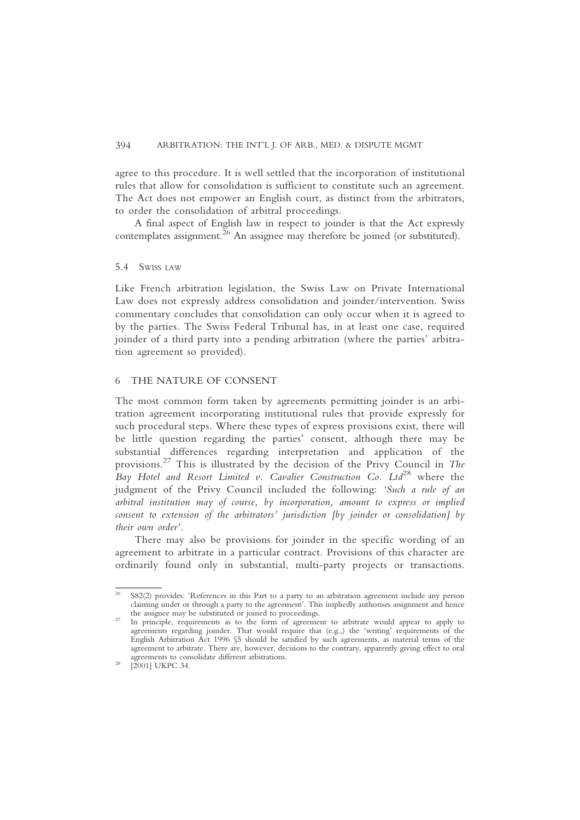agree to this procedure. It is well settled that the incorporation of institutional rules that allow for consolidation is sufficient to constitute such an agreement. The Act does not empower an English court, as distinct from the arbitrators, to order the consolidation of arbitral proceedings.

A final aspect of English law in respect to joinder is that the Act expressly  $\frac{26}{26}$  An assignee may therefore be joined (or substituted).

# 5.4 SWISS LAW

Like French arbitration legislation, the Swiss Law on Private International Law does not expressly address consolidation and joinder/intervention. Swiss commentary concludes that consolidation can only occur when it is agreed to by the parties. The Swiss Federal Tribunal has, in at least one case, required joinder of a third party into a pending arbitration (where the parties' arbitration agreement so provided).

## 6 THE NATURE OF CONSENT

The most common form taken by agreements permitting joinder is an arbitration agreement incorporating institutional rules that provide expressly for such procedural steps. Where these types of express provisions exist, there will be little question regarding the parties' consent, although there may be substantial differences regarding interpretation and application of the provisions.<sup>27</sup> This is illustrated by the decision of the Privy Council in The Bay Hotel and Resort Limited v. Cavalier Construction Co.  $Lt d^{28}$  where the judgment of the Privy Council included the following: 'Such a rule of an arbitral institution may of course, by incorporation, amount to express or implied consent to extension of the arbitrators' jurisdiction [by joinder or consolidation] by their own order'.

There may also be provisions for joinder in the specific wording of an agreement to arbitrate in a particular contract. Provisions of this character are ordinarily found only in substantial, multi-party projects or transactions.

 $26$  S82(2) provides: 'References in this Part to a party to an arbitration agreement include any person claiming under or through a party to the agreement'. This impliedly authorises assignment and hence the assignee may be substituted or joined to proceedings.<br><sup>27</sup> In principle, requirements as to the form of agreement to arbitrate would appear to apply to

agreements regarding joinder. That would require that (e.g.,) the 'writing' requirements of the English Arbitration Act 1996 §5 should be satisfied by such agreements, as material terms of the agreement to arbitrate. There are, however, decisions to the contrary, apparently giving effect to oral

 $28 \quad [2001] \text{ UKPC 34.}$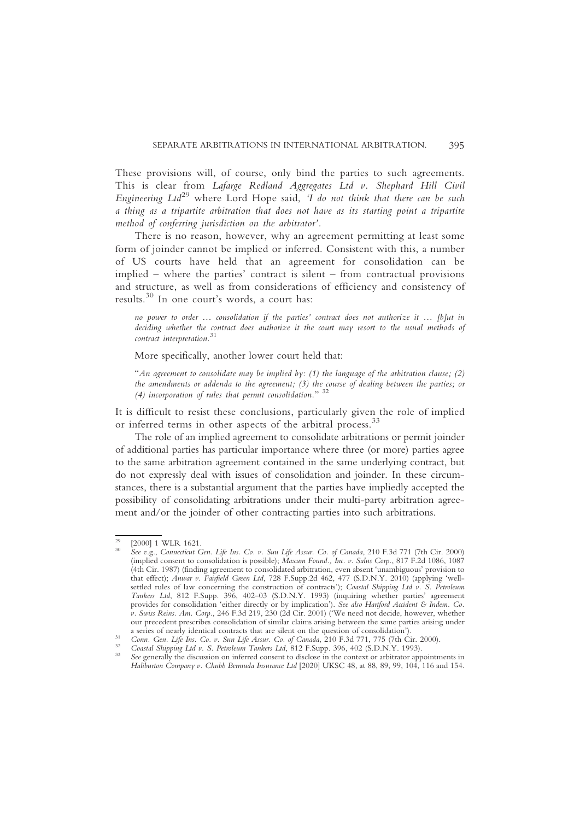These provisions will, of course, only bind the parties to such agreements. This is clear from Lafarge Redland Aggregates Ltd v. Shephard Hill Civil Engineering  $Ltd^{29}$  where Lord Hope said, 'I do not think that there can be such a thing as a tripartite arbitration that does not have as its starting point a tripartite method of conferring jurisdiction on the arbitrator'.

There is no reason, however, why an agreement permitting at least some form of joinder cannot be implied or inferred. Consistent with this, a number of US courts have held that an agreement for consolidation can be implied – where the parties' contract is silent – from contractual provisions and structure, as well as from considerations of efficiency and consistency of results.<sup>30</sup> In one court's words, a court has:

no power to order … consolidation if the parties' contract does not authorize it … [b]ut in deciding whether the contract does authorize it the court may resort to the usual methods of contract interpretation.<sup>31</sup>

More specifically, another lower court held that:

"An agreement to consolidate may be implied by: (1) the language of the arbitration clause; (2) the amendments or addenda to the agreement; (3) the course of dealing between the parties; or (4) incorporation of rules that permit consolidation."  $32$ 

It is difficult to resist these conclusions, particularly given the role of implied or inferred terms in other aspects of the arbitral process.<sup>33</sup>

The role of an implied agreement to consolidate arbitrations or permit joinder of additional parties has particular importance where three (or more) parties agree to the same arbitration agreement contained in the same underlying contract, but do not expressly deal with issues of consolidation and joinder. In these circumstances, there is a substantial argument that the parties have impliedly accepted the possibility of consolidating arbitrations under their multi-party arbitration agreement and/or the joinder of other contracting parties into such arbitrations.

<sup>&</sup>lt;sup>29</sup>  $[2000]$  1 WLR 1621.<br><sup>30</sup> See e.g., Connecticut Gen. Life Ins. Co. v. Sun Life Assur. Co. of Canada, 210 F.3d 771 (7th Cir. 2000) (implied consent to consolidation is possible); Maxum Found., Inc. v. Salus Corp., 817 F.2d 1086, 1087 (4th Cir. 1987) (finding agreement to consolidated arbitration, even absent 'unambiguous' provision to that effect); Anwar v. Fairfield Green Ltd, 728 F.Supp.2d 462, 477 (S.D.N.Y. 2010) (applying 'wellsettled rules of law concerning the construction of contracts'); Coastal Shipping Ltd v. S. Petroleum Tankers Ltd, 812 F.Supp. 396, 402–03 (S.D.N.Y. 1993) (inquiring whether parties' agreement provides for consolidation 'either directly or by implication'). See also Hartford Accident & Indem. Co. v. Swiss Reins. Am. Corp., 246 F.3d 219, 230 (2d Cir. 2001) ('We need not decide, however, whether our precedent prescribes consolidation of similar claims arising between the same parties arising under a series of nearly identical contracts that are silent on the question of consolidation').

<sup>&</sup>lt;sup>31</sup> Conn. Gen. Life Ins. Co. v. Sun Life Assur. Co. of Canada, 210 F.3d 771, 775 (7th Cir. 2000).<br><sup>32</sup> Coastal Shipping Ltd v. S. Petroleum Tankers Ltd, 812 F.Supp. 396, 402 (S.D.N.Y. 1993).<br><sup>33</sup> See generally the discuss

Haliburton Company v. Chubb Bermuda Insurance Ltd [2020] UKSC 48, at 88, 89, 99, 104, 116 and 154.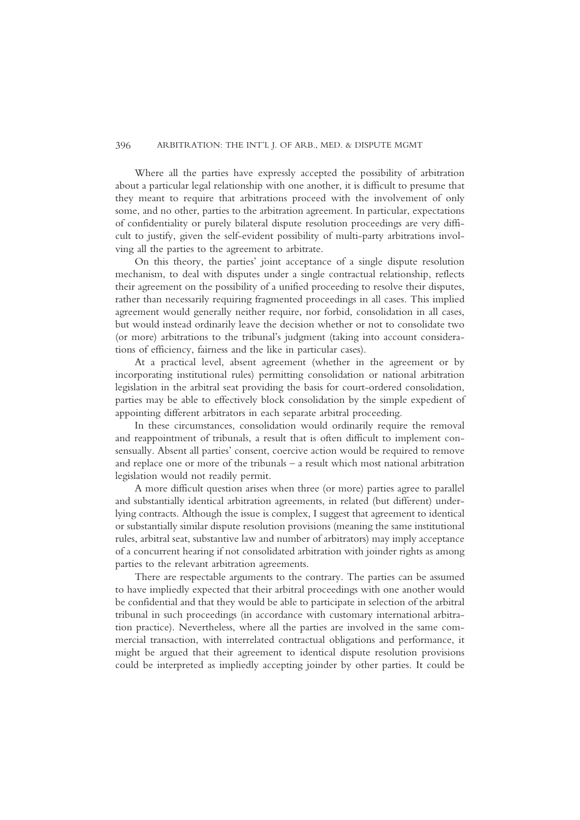#### 396 ARBITRATION: THE INT'L J. OF ARB., MED. & DISPUTE MGMT

Where all the parties have expressly accepted the possibility of arbitration about a particular legal relationship with one another, it is difficult to presume that they meant to require that arbitrations proceed with the involvement of only some, and no other, parties to the arbitration agreement. In particular, expectations of confidentiality or purely bilateral dispute resolution proceedings are very difficult to justify, given the self-evident possibility of multi-party arbitrations involving all the parties to the agreement to arbitrate.

On this theory, the parties' joint acceptance of a single dispute resolution mechanism, to deal with disputes under a single contractual relationship, reflects their agreement on the possibility of a unified proceeding to resolve their disputes, rather than necessarily requiring fragmented proceedings in all cases. This implied agreement would generally neither require, nor forbid, consolidation in all cases, but would instead ordinarily leave the decision whether or not to consolidate two (or more) arbitrations to the tribunal's judgment (taking into account considerations of efficiency, fairness and the like in particular cases).

At a practical level, absent agreement (whether in the agreement or by incorporating institutional rules) permitting consolidation or national arbitration legislation in the arbitral seat providing the basis for court-ordered consolidation, parties may be able to effectively block consolidation by the simple expedient of appointing different arbitrators in each separate arbitral proceeding.

In these circumstances, consolidation would ordinarily require the removal and reappointment of tribunals, a result that is often difficult to implement consensually. Absent all parties' consent, coercive action would be required to remove and replace one or more of the tribunals – a result which most national arbitration legislation would not readily permit.

A more difficult question arises when three (or more) parties agree to parallel and substantially identical arbitration agreements, in related (but different) underlying contracts. Although the issue is complex, I suggest that agreement to identical or substantially similar dispute resolution provisions (meaning the same institutional rules, arbitral seat, substantive law and number of arbitrators) may imply acceptance of a concurrent hearing if not consolidated arbitration with joinder rights as among parties to the relevant arbitration agreements.

There are respectable arguments to the contrary. The parties can be assumed to have impliedly expected that their arbitral proceedings with one another would be confidential and that they would be able to participate in selection of the arbitral tribunal in such proceedings (in accordance with customary international arbitration practice). Nevertheless, where all the parties are involved in the same commercial transaction, with interrelated contractual obligations and performance, it might be argued that their agreement to identical dispute resolution provisions could be interpreted as impliedly accepting joinder by other parties. It could be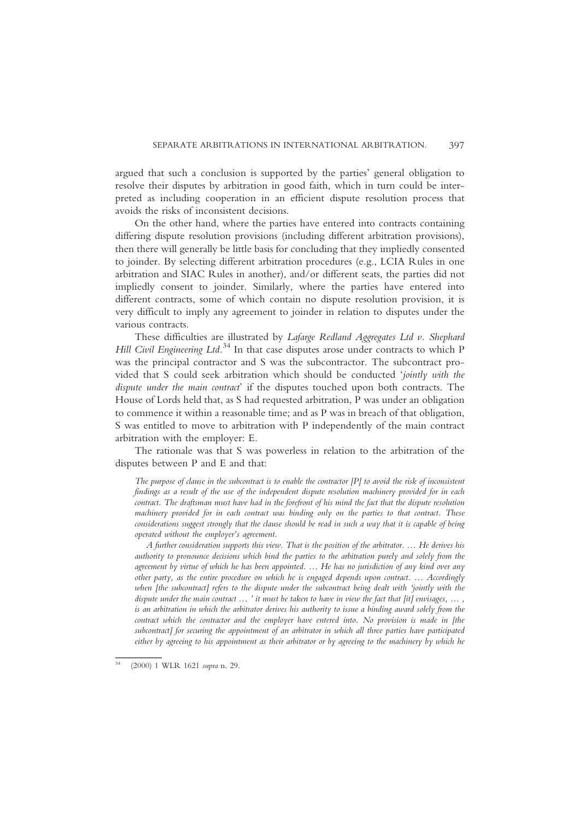argued that such a conclusion is supported by the parties' general obligation to resolve their disputes by arbitration in good faith, which in turn could be interpreted as including cooperation in an efficient dispute resolution process that avoids the risks of inconsistent decisions.

On the other hand, where the parties have entered into contracts containing differing dispute resolution provisions (including different arbitration provisions), then there will generally be little basis for concluding that they impliedly consented to joinder. By selecting different arbitration procedures (e.g., LCIA Rules in one arbitration and SIAC Rules in another), and/or different seats, the parties did not impliedly consent to joinder. Similarly, where the parties have entered into different contracts, some of which contain no dispute resolution provision, it is very difficult to imply any agreement to joinder in relation to disputes under the various contracts.

These difficulties are illustrated by Lafarge Redland Aggregates Ltd v. Shephard Hill Civil Engineering Ltd.<sup>34</sup> In that case disputes arose under contracts to which P was the principal contractor and S was the subcontractor. The subcontract provided that S could seek arbitration which should be conducted 'jointly with the dispute under the main contract' if the disputes touched upon both contracts. The House of Lords held that, as S had requested arbitration, P was under an obligation to commence it within a reasonable time; and as P was in breach of that obligation, S was entitled to move to arbitration with P independently of the main contract arbitration with the employer: E.

The rationale was that S was powerless in relation to the arbitration of the disputes between P and E and that:

The purpose of clause in the subcontract is to enable the contractor  $[P]$  to avoid the risk of inconsistent findings as a result of the use of the independent dispute resolution machinery provided for in each contract. The draftsman must have had in the forefront of his mind the fact that the dispute resolution machinery provided for in each contract was binding only on the parties to that contract. These considerations suggest strongly that the clause should be read in such a way that it is capable of being operated without the employer's agreement.

A further consideration supports this view. That is the position of the arbitrator. … He derives his authority to pronounce decisions which bind the parties to the arbitration purely and solely from the agreement by virtue of which he has been appointed. … He has no jurisdiction of any kind over any other party, as the entire procedure on which he is engaged depends upon contract. … Accordingly when [the subcontract] refers to the dispute under the subcontract being dealt with 'jointly with the dispute under the main contract ... ' it must be taken to have in view the fact that [it] envisages, ..., is an arbitration in which the arbitrator derives his authority to issue a binding award solely from the contract which the contractor and the employer have entered into. No provision is made in [the subcontract] for securing the appointment of an arbitrator in which all three parties have participated either by agreeing to his appointment as their arbitrator or by agreeing to the machinery by which he

<sup>34</sup> (2000) 1 WLR 1621 supra n. 29.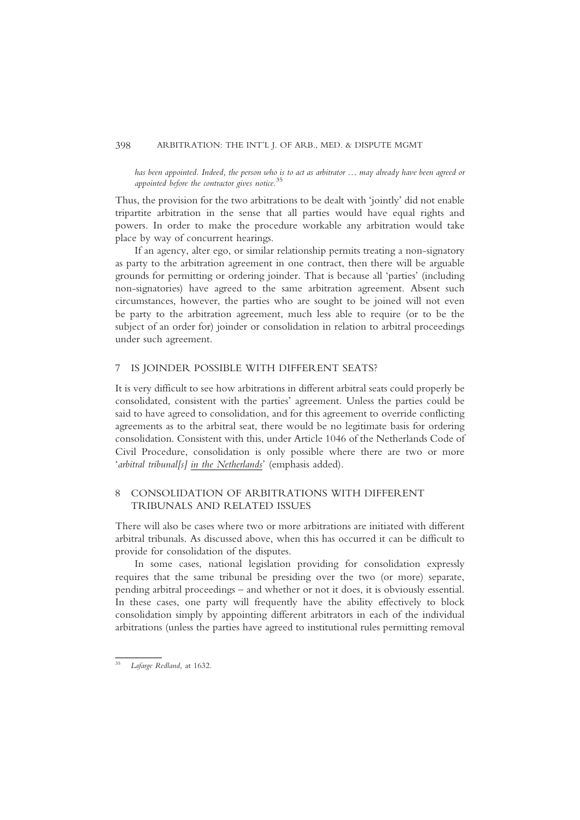#### 398 ARBITRATION: THE INT'L J. OF ARB., MED. & DISPUTE MGMT

has been appointed. Indeed, the person who is to act as arbitrator … may already have been agreed or appointed before the contractor gives notice.<sup>35</sup>

Thus, the provision for the two arbitrations to be dealt with 'jointly' did not enable tripartite arbitration in the sense that all parties would have equal rights and powers. In order to make the procedure workable any arbitration would take place by way of concurrent hearings.

If an agency, alter ego, or similar relationship permits treating a non-signatory as party to the arbitration agreement in one contract, then there will be arguable grounds for permitting or ordering joinder. That is because all 'parties' (including non-signatories) have agreed to the same arbitration agreement. Absent such circumstances, however, the parties who are sought to be joined will not even be party to the arbitration agreement, much less able to require (or to be the subject of an order for) joinder or consolidation in relation to arbitral proceedings under such agreement.

## 7 IS JOINDER POSSIBLE WITH DIFFERENT SEATS?

It is very difficult to see how arbitrations in different arbitral seats could properly be consolidated, consistent with the parties' agreement. Unless the parties could be said to have agreed to consolidation, and for this agreement to override conflicting agreements as to the arbitral seat, there would be no legitimate basis for ordering consolidation. Consistent with this, under Article 1046 of the Netherlands Code of Civil Procedure, consolidation is only possible where there are two or more 'arbitral tribunal[s] in the Netherlands' (emphasis added).

# 8 CONSOLIDATION OF ARBITRATIONS WITH DIFFERENT TRIBUNALS AND RELATED ISSUES

There will also be cases where two or more arbitrations are initiated with different arbitral tribunals. As discussed above, when this has occurred it can be difficult to provide for consolidation of the disputes.

In some cases, national legislation providing for consolidation expressly requires that the same tribunal be presiding over the two (or more) separate, pending arbitral proceedings – and whether or not it does, it is obviously essential. In these cases, one party will frequently have the ability effectively to block consolidation simply by appointing different arbitrators in each of the individual arbitrations (unless the parties have agreed to institutional rules permitting removal

<sup>35</sup> Lafarge Redland, at 1632.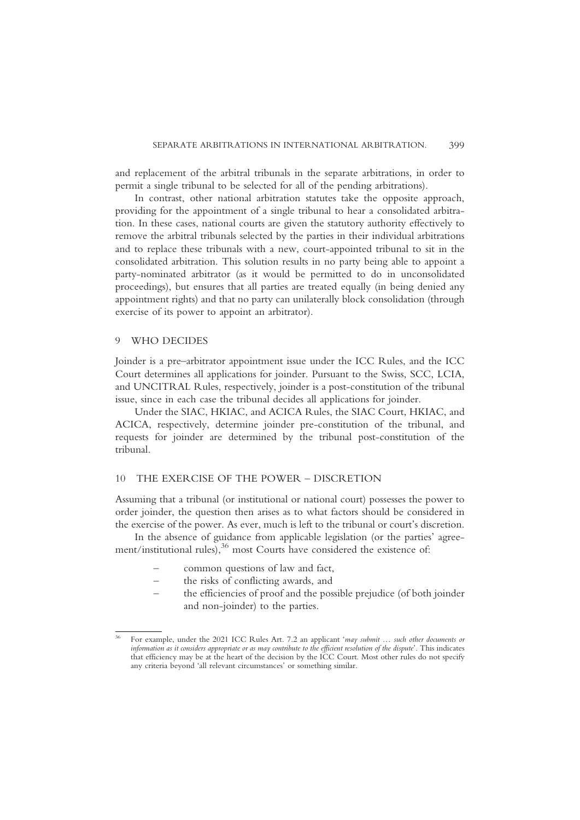and replacement of the arbitral tribunals in the separate arbitrations, in order to permit a single tribunal to be selected for all of the pending arbitrations).

In contrast, other national arbitration statutes take the opposite approach, providing for the appointment of a single tribunal to hear a consolidated arbitration. In these cases, national courts are given the statutory authority effectively to remove the arbitral tribunals selected by the parties in their individual arbitrations and to replace these tribunals with a new, court-appointed tribunal to sit in the consolidated arbitration. This solution results in no party being able to appoint a party-nominated arbitrator (as it would be permitted to do in unconsolidated proceedings), but ensures that all parties are treated equally (in being denied any appointment rights) and that no party can unilaterally block consolidation (through exercise of its power to appoint an arbitrator).

#### 9 WHO DECIDES

Joinder is a pre–arbitrator appointment issue under the ICC Rules, and the ICC Court determines all applications for joinder. Pursuant to the Swiss, SCC, LCIA, and UNCITRAL Rules, respectively, joinder is a post-constitution of the tribunal issue, since in each case the tribunal decides all applications for joinder.

Under the SIAC, HKIAC, and ACICA Rules, the SIAC Court, HKIAC, and ACICA, respectively, determine joinder pre-constitution of the tribunal, and requests for joinder are determined by the tribunal post-constitution of the tribunal.

## 10 THE EXERCISE OF THE POWER – DISCRETION

Assuming that a tribunal (or institutional or national court) possesses the power to order joinder, the question then arises as to what factors should be considered in the exercise of the power. As ever, much is left to the tribunal or court's discretion.

In the absence of guidance from applicable legislation (or the parties' agreement/institutional rules),<sup>36</sup> most Courts have considered the existence of:

- common questions of law and fact,
- the risks of conflicting awards, and
- the efficiencies of proof and the possible prejudice (of both joinder and non-joinder) to the parties.

<sup>&</sup>lt;sup>36</sup> For example, under the 2021 ICC Rules Art. 7.2 an applicant 'may submit ... such other documents or information as it considers appropriate or as may contribute to the efficient resolution of the dispute'. This indicates that efficiency may be at the heart of the decision by the ICC Court. Most other rules do not specify any criteria beyond 'all relevant circumstances' or something similar.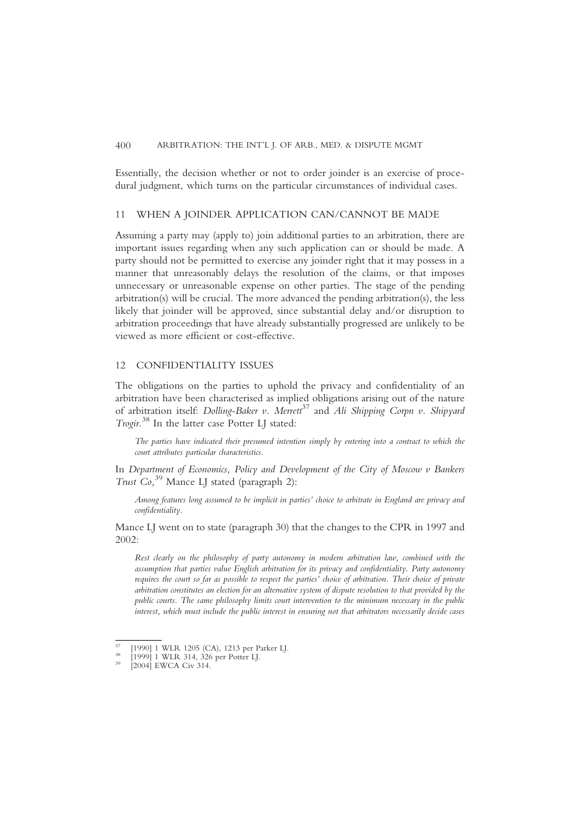### 400 ARBITRATION: THE INT'L J. OF ARB., MED. & DISPUTE MGMT

Essentially, the decision whether or not to order joinder is an exercise of procedural judgment, which turns on the particular circumstances of individual cases.

# 11 WHEN A JOINDER APPLICATION CAN/CANNOT BE MADE

Assuming a party may (apply to) join additional parties to an arbitration, there are important issues regarding when any such application can or should be made. A party should not be permitted to exercise any joinder right that it may possess in a manner that unreasonably delays the resolution of the claims, or that imposes unnecessary or unreasonable expense on other parties. The stage of the pending arbitration(s) will be crucial. The more advanced the pending arbitration(s), the less likely that joinder will be approved, since substantial delay and/or disruption to arbitration proceedings that have already substantially progressed are unlikely to be viewed as more efficient or cost-effective.

## 12 CONFIDENTIALITY ISSUES

The obligations on the parties to uphold the privacy and confidentiality of an arbitration have been characterised as implied obligations arising out of the nature of arbitration itself: Dolling-Baker v. Merrett<sup>37</sup> and Ali Shipping Corpn v. Shipyard Trogir.<sup>38</sup> In the latter case Potter LJ stated:

The parties have indicated their presumed intention simply by entering into a contract to which the court attributes particular characteristics.

In Department of Economics, Policy and Development of the City of Moscow v Bankers Trust Co,<sup>39</sup> Mance LJ stated (paragraph 2):

Among features long assumed to be implicit in parties' choice to arbitrate in England are privacy and confidentiality.

Mance LJ went on to state (paragraph 30) that the changes to the CPR in 1997 and 2002:

Rest clearly on the philosophy of party autonomy in modern arbitration law, combined with the assumption that parties value English arbitration for its privacy and confidentiality. Party autonomy requires the court so far as possible to respect the parties' choice of arbitration. Their choice of private arbitration constitutes an election for an alternative system of dispute resolution to that provided by the public courts. The same philosophy limits court intervention to the minimum necessary in the public interest, which must include the public interest in ensuring not that arbitrators necessarily decide cases

<sup>37</sup> [1990] 1 WLR 1205 (CA), 1213 per Parker LJ. <sup>38</sup> [1999] 1 WLR 314, 326 per Potter LJ. <sup>39</sup> [2004] EWCA Civ 314.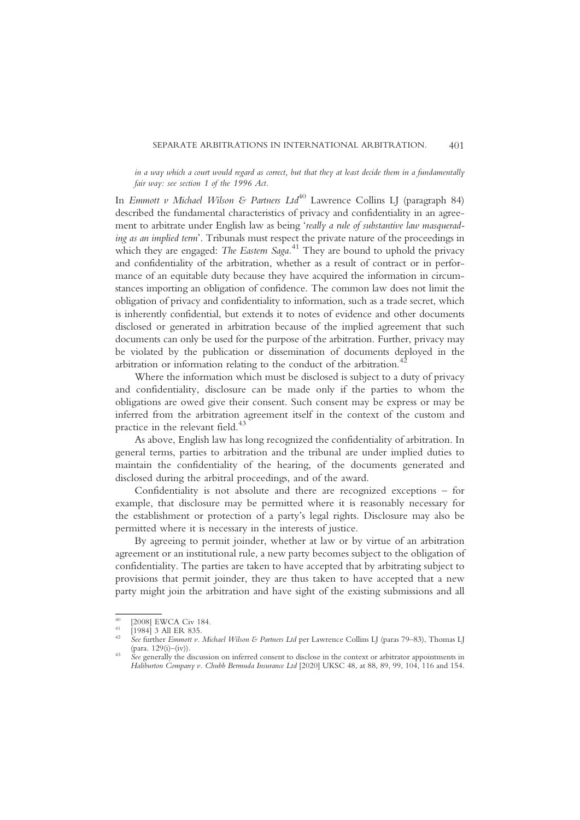in a way which a court would regard as correct, but that they at least decide them in a fundamentally fair way: see section 1 of the 1996 Act.

In Emmott v Michael Wilson & Partners  $Ltd^{40}$  Lawrence Collins LJ (paragraph 84) described the fundamental characteristics of privacy and confidentiality in an agreement to arbitrate under English law as being 'really a rule of substantive law masquerading as an implied term'. Tribunals must respect the private nature of the proceedings in which they are engaged: The Eastern Saga.<sup>41</sup> They are bound to uphold the privacy and confidentiality of the arbitration, whether as a result of contract or in performance of an equitable duty because they have acquired the information in circumstances importing an obligation of confidence. The common law does not limit the obligation of privacy and confidentiality to information, such as a trade secret, which is inherently confidential, but extends it to notes of evidence and other documents disclosed or generated in arbitration because of the implied agreement that such documents can only be used for the purpose of the arbitration. Further, privacy may be violated by the publication or dissemination of documents deployed in the arbitration or information relating to the conduct of the arbitration.<sup>4</sup>

Where the information which must be disclosed is subject to a duty of privacy and confidentiality, disclosure can be made only if the parties to whom the obligations are owed give their consent. Such consent may be express or may be inferred from the arbitration agreement itself in the context of the custom and practice in the relevant field.<sup>43</sup>

As above, English law has long recognized the confidentiality of arbitration. In general terms, parties to arbitration and the tribunal are under implied duties to maintain the confidentiality of the hearing, of the documents generated and disclosed during the arbitral proceedings, and of the award.

Confidentiality is not absolute and there are recognized exceptions – for example, that disclosure may be permitted where it is reasonably necessary for the establishment or protection of a party's legal rights. Disclosure may also be permitted where it is necessary in the interests of justice.

By agreeing to permit joinder, whether at law or by virtue of an arbitration agreement or an institutional rule, a new party becomes subject to the obligation of confidentiality. The parties are taken to have accepted that by arbitrating subject to provisions that permit joinder, they are thus taken to have accepted that a new party might join the arbitration and have sight of the existing submissions and all

<sup>&</sup>lt;sup>40</sup> [2008] EWCA Civ 184.<br><sup>41</sup> [1984] 3 All ER 835.<br><sup>42</sup> See further *Emmott v. Michael Wilson & Partners Ltd* per Lawrence Collins LJ (paras 79–83), Thomas LJ<br>(para. 129(i)–(iv)).

<sup>&</sup>lt;sup>43</sup> See generally the discussion on inferred consent to disclose in the context or arbitrator appointments in Haliburton Company v. Chubb Bermuda Insurance Ltd [2020] UKSC 48, at 88, 89, 99, 104, 116 and 154.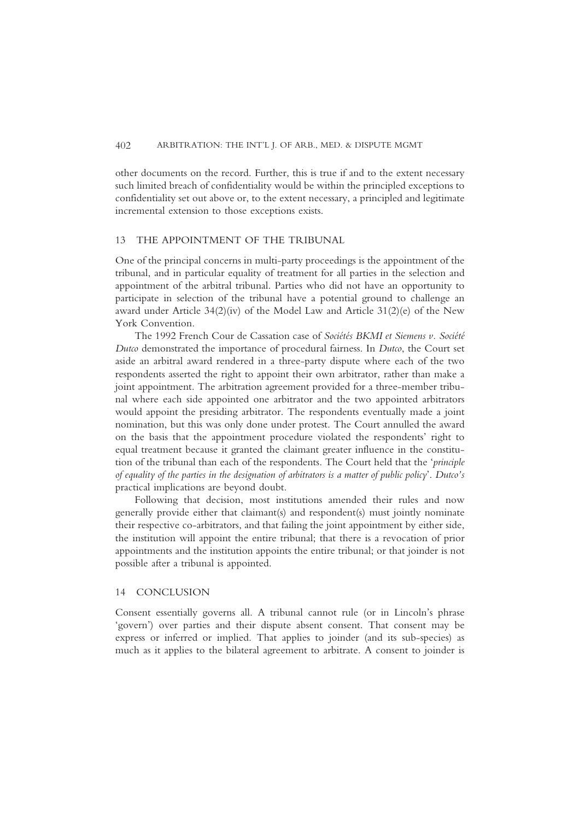other documents on the record. Further, this is true if and to the extent necessary such limited breach of confidentiality would be within the principled exceptions to confidentiality set out above or, to the extent necessary, a principled and legitimate incremental extension to those exceptions exists.

# 13 THE APPOINTMENT OF THE TRIBUNAL

One of the principal concerns in multi-party proceedings is the appointment of the tribunal, and in particular equality of treatment for all parties in the selection and appointment of the arbitral tribunal. Parties who did not have an opportunity to participate in selection of the tribunal have a potential ground to challenge an award under Article 34(2)(iv) of the Model Law and Article 31(2)(e) of the New York Convention.

The 1992 French Cour de Cassation case of Sociétés BKMI et Siemens v. Société Dutco demonstrated the importance of procedural fairness. In Dutco, the Court set aside an arbitral award rendered in a three-party dispute where each of the two respondents asserted the right to appoint their own arbitrator, rather than make a joint appointment. The arbitration agreement provided for a three-member tribunal where each side appointed one arbitrator and the two appointed arbitrators would appoint the presiding arbitrator. The respondents eventually made a joint nomination, but this was only done under protest. The Court annulled the award on the basis that the appointment procedure violated the respondents' right to equal treatment because it granted the claimant greater influence in the constitution of the tribunal than each of the respondents. The Court held that the 'principle of equality of the parties in the designation of arbitrators is a matter of public policy'. Dutco's practical implications are beyond doubt.

Following that decision, most institutions amended their rules and now generally provide either that claimant(s) and respondent(s) must jointly nominate their respective co-arbitrators, and that failing the joint appointment by either side, the institution will appoint the entire tribunal; that there is a revocation of prior appointments and the institution appoints the entire tribunal; or that joinder is not possible after a tribunal is appointed.

## 14 CONCLUSION

Consent essentially governs all. A tribunal cannot rule (or in Lincoln's phrase 'govern') over parties and their dispute absent consent. That consent may be express or inferred or implied. That applies to joinder (and its sub-species) as much as it applies to the bilateral agreement to arbitrate. A consent to joinder is